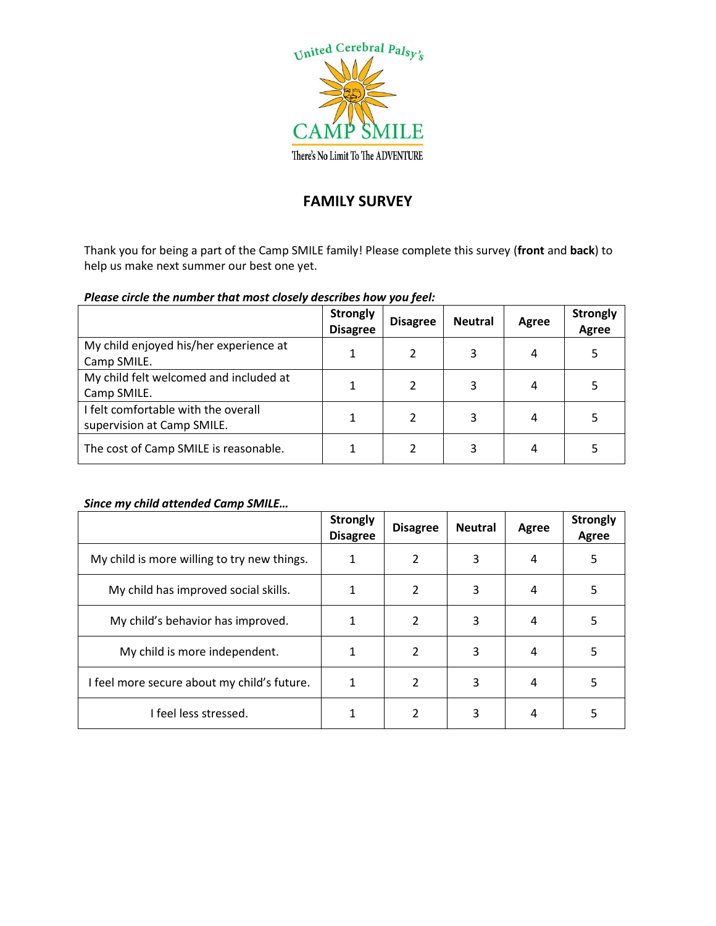

## **FAMILY SURVEY**

Thank you for being a part of the Camp SMILE family! Please complete this survey (**front** and **back**) to help us make next summer our best one yet.

## *Please circle the number that most closely describes how you feel:*

|                                                                   | <b>Strongly</b><br><b>Disagree</b> | <b>Disagree</b> | <b>Neutral</b> | Agree | <b>Strongly</b><br>Agree |
|-------------------------------------------------------------------|------------------------------------|-----------------|----------------|-------|--------------------------|
| My child enjoyed his/her experience at<br>Camp SMILE.             |                                    |                 | 3              | 4     |                          |
| My child felt welcomed and included at<br>Camp SMILE.             |                                    |                 | 3              | 4     |                          |
| I felt comfortable with the overall<br>supervision at Camp SMILE. |                                    |                 | 3              | 4     |                          |
| The cost of Camp SMILE is reasonable.                             |                                    |                 | 3              | 4     |                          |

## *Since my child attended Camp SMILE…*

|                                             | <b>Strongly</b><br><b>Disagree</b> | <b>Disagree</b> | <b>Neutral</b> | Agree | <b>Strongly</b><br><b>Agree</b> |
|---------------------------------------------|------------------------------------|-----------------|----------------|-------|---------------------------------|
| My child is more willing to try new things. | 1                                  | 2               | 3              | 4     | 5                               |
| My child has improved social skills.        |                                    | 2               | 3              | 4     | 5                               |
| My child's behavior has improved.           |                                    | 2               | 3              | 4     | 5                               |
| My child is more independent.               |                                    | 2               | 3              | 4     | 5                               |
| I feel more secure about my child's future. |                                    | 2               | 3              | 4     | 5                               |
| I feel less stressed.                       |                                    | 2               | 3              | 4     |                                 |